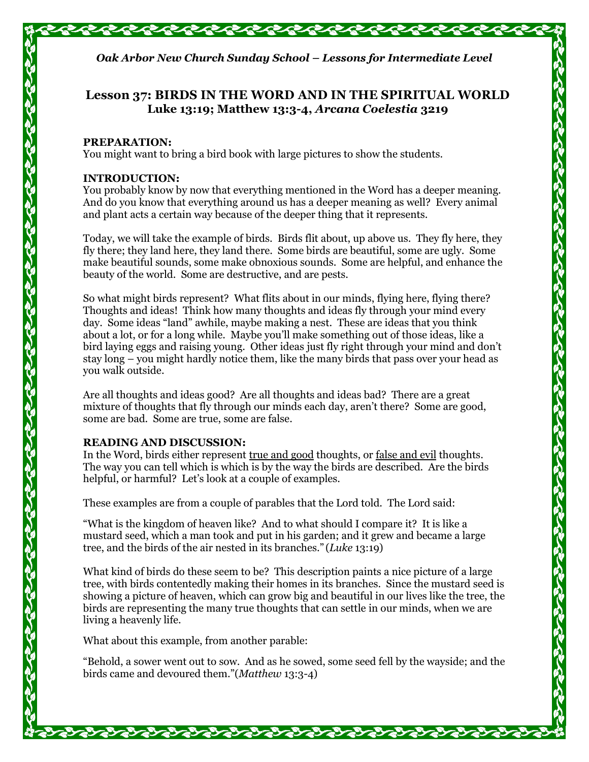

## **Lesson 37: BIRDS IN THE WORD AND IN THE SPIRITUAL WORLD Luke 13:19; Matthew 13:3-4,** *Arcana Coelestia* **3219**

#### **PREPARATION:**

You might want to bring a bird book with large pictures to show the students.

#### **INTRODUCTION:**

You probably know by now that everything mentioned in the Word has a deeper meaning. And do you know that everything around us has a deeper meaning as well? Every animal and plant acts a certain way because of the deeper thing that it represents.

Today, we will take the example of birds. Birds flit about, up above us. They fly here, they fly there; they land here, they land there. Some birds are beautiful, some are ugly. Some make beautiful sounds, some make obnoxious sounds. Some are helpful, and enhance the beauty of the world. Some are destructive, and are pests.

So what might birds represent? What flits about in our minds, flying here, flying there? Thoughts and ideas! Think how many thoughts and ideas fly through your mind every day. Some ideas "land" awhile, maybe making a nest. These are ideas that you think about a lot, or for a long while. Maybe you'll make something out of those ideas, like a bird laying eggs and raising young. Other ideas just fly right through your mind and don't stay long – you might hardly notice them, like the many birds that pass over your head as you walk outside.

Are all thoughts and ideas good? Are all thoughts and ideas bad? There are a great mixture of thoughts that fly through our minds each day, aren't there? Some are good, some are bad. Some are true, some are false.

#### **READING AND DISCUSSION:**

In the Word, birds either represent true and good thoughts, or false and evil thoughts. The way you can tell which is which is by the way the birds are described. Are the birds helpful, or harmful? Let's look at a couple of examples.

These examples are from a couple of parables that the Lord told. The Lord said:

"What is the kingdom of heaven like? And to what should I compare it? It is like a mustard seed, which a man took and put in his garden; and it grew and became a large tree, and the birds of the air nested in its branches." (*Luke* 13:19)

What kind of birds do these seem to be? This description paints a nice picture of a large tree, with birds contentedly making their homes in its branches. Since the mustard seed is showing a picture of heaven, which can grow big and beautiful in our lives like the tree, the birds are representing the many true thoughts that can settle in our minds, when we are living a heavenly life.

What about this example, from another parable:

"Behold, a sower went out to sow. And as he sowed, some seed fell by the wayside; and the birds came and devoured them."(*Matthew* 13:3-4)

るうるうるうこうこうこうこうこうこう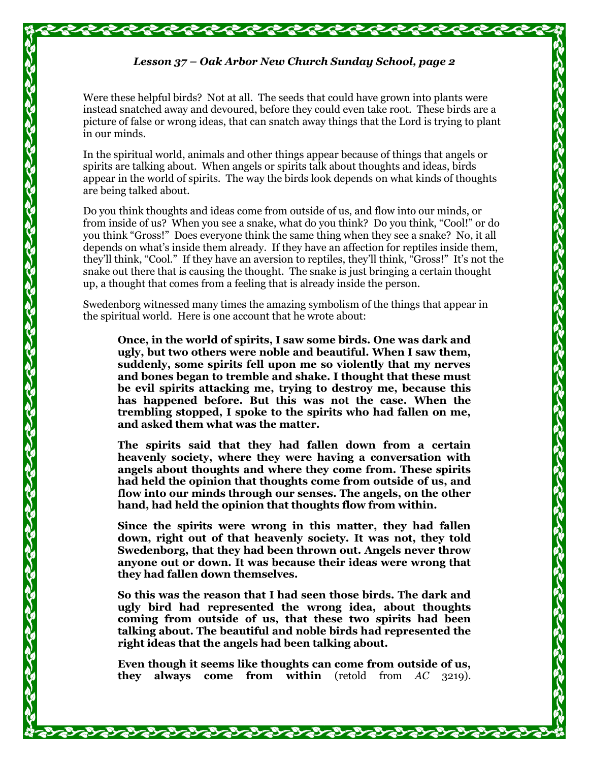#### *Lesson 37 – Oak Arbor New Church Sunday School, page 2*

Were these helpful birds? Not at all. The seeds that could have grown into plants were instead snatched away and devoured, before they could even take root. These birds are a picture of false or wrong ideas, that can snatch away things that the Lord is trying to plant in our minds.

In the spiritual world, animals and other things appear because of things that angels or spirits are talking about. When angels or spirits talk about thoughts and ideas, birds appear in the world of spirits. The way the birds look depends on what kinds of thoughts are being talked about.

Do you think thoughts and ideas come from outside of us, and flow into our minds, or from inside of us? When you see a snake, what do you think? Do you think, "Cool!" or do you think "Gross!" Does everyone think the same thing when they see a snake? No, it all depends on what's inside them already. If they have an affection for reptiles inside them, they'll think, "Cool." If they have an aversion to reptiles, they'll think, "Gross!" It's not the snake out there that is causing the thought. The snake is just bringing a certain thought up, a thought that comes from a feeling that is already inside the person.

Swedenborg witnessed many times the amazing symbolism of the things that appear in the spiritual world. Here is one account that he wrote about:

**Once, in the world of spirits, I saw some birds. One was dark and ugly, but two others were noble and beautiful. When I saw them, suddenly, some spirits fell upon me so violently that my nerves and bones began to tremble and shake. I thought that these must be evil spirits attacking me, trying to destroy me, because this has happened before. But this was not the case. When the trembling stopped, I spoke to the spirits who had fallen on me, and asked them what was the matter.**

**The spirits said that they had fallen down from a certain heavenly society, where they were having a conversation with angels about thoughts and where they come from. These spirits had held the opinion that thoughts come from outside of us, and flow into our minds through our senses. The angels, on the other hand, had held the opinion that thoughts flow from within.**

**Since the spirits were wrong in this matter, they had fallen down, right out of that heavenly society. It was not, they told Swedenborg, that they had been thrown out. Angels never throw anyone out or down. It was because their ideas were wrong that they had fallen down themselves.**

**So this was the reason that I had seen those birds. The dark and ugly bird had represented the wrong idea, about thoughts coming from outside of us, that these two spirits had been talking about. The beautiful and noble birds had represented the right ideas that the angels had been talking about.**

**Even though it seems like thoughts can come from outside of us, they always come from within** (retold from *AC* 3219).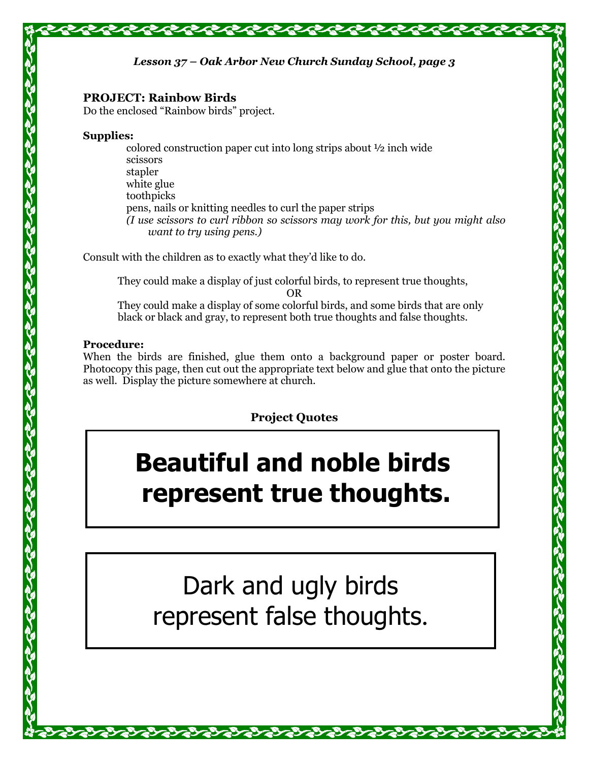### *Lesson 37 – Oak Arbor New Church Sunday School, page 3*

#### **PROJECT: Rainbow Birds**

Do the enclosed "Rainbow birds" project.

#### **Supplies:**

colored construction paper cut into long strips about ½ inch wide scissors stapler white glue toothpicks pens, nails or knitting needles to curl the paper strips *(I use scissors to curl ribbon so scissors may work for this, but you might also want to try using pens.)*

Consult with the children as to exactly what they'd like to do.

They could make a display of just colorful birds, to represent true thoughts, OR They could make a display of some colorful birds, and some birds that are only black or black and gray, to represent both true thoughts and false thoughts.

#### **Procedure:**

When the birds are finished, glue them onto a background paper or poster board. Photocopy this page, then cut out the appropriate text below and glue that onto the picture as well. Display the picture somewhere at church.

# **Project Quotes**

# **Beautiful and noble birds represent true thoughts.**

# Dark and ugly birds represent false thoughts.